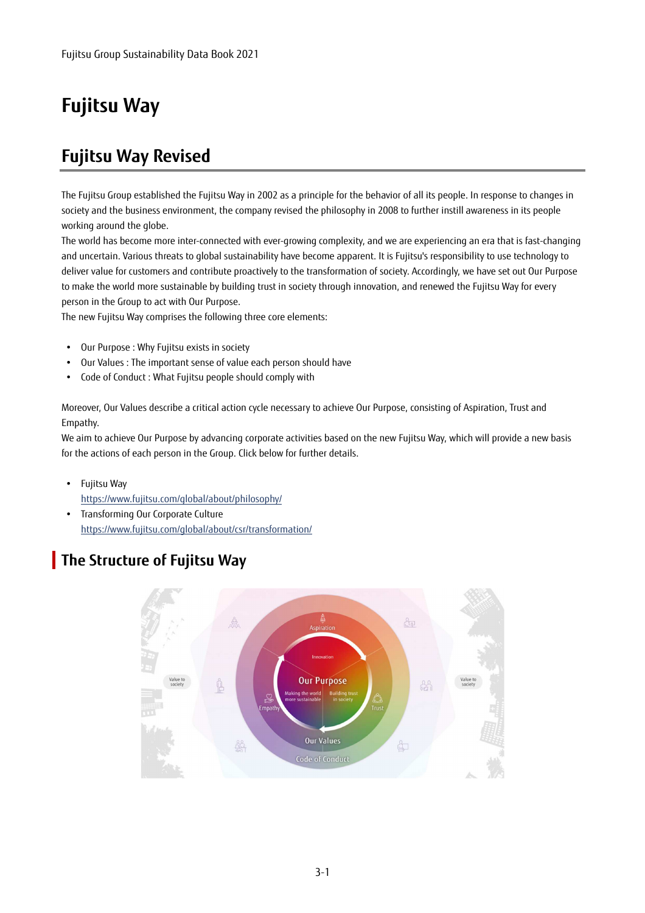## **Fujitsu Way**

## **Fujitsu Way Revised**

The Fujitsu Group established the Fujitsu Way in 2002 as a principle for the behavior of all its people. In response to changes in society and the business environment, the company revised the philosophy in 2008 to further instill awareness in its people working around the globe.

The world has become more inter-connected with ever-growing complexity, and we are experiencing an era that is fast-changing and uncertain. Various threats to global sustainability have become apparent. It is Fujitsu's responsibility to use technology to deliver value for customers and contribute proactively to the transformation of society. Accordingly, we have set out Our Purpose to make the world more sustainable by building trust in society through innovation, and renewed the Fujitsu Way for every person in the Group to act with Our Purpose.

The new Fujitsu Way comprises the following three core elements:

- Our Purpose : Why Fujitsu exists in society
- Our Values : The important sense of value each person should have
- Code of Conduct : What Fujitsu people should comply with

Moreover, Our Values describe a critical action cycle necessary to achieve Our Purpose, consisting of Aspiration, Trust and Empathy.

We aim to achieve Our Purpose by advancing corporate activities based on the new Fujitsu Way, which will provide a new basis for the actions of each person in the Group. Click below for further details.

- Fujitsu Wav https://www.fujitsu.com/global/about/philosophy/
- Transforming Our Corporate Culture https://www.fujitsu.com/global/about/csr/transformation/

## **The Structure of Fujitsu Way**